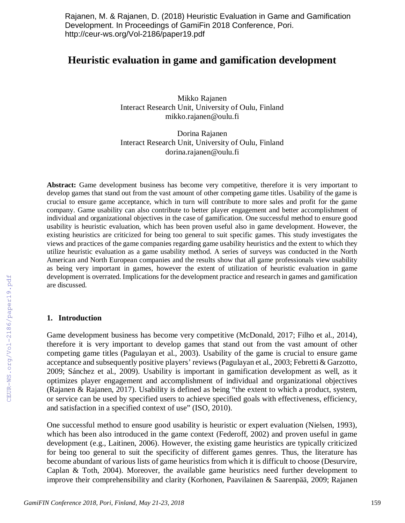Rajanen, M. & Rajanen, D. (2018) Heuristic Evaluation in Game and Gamification Development. In Proceedings of GamiFin 2018 Conference, Pori. http://ceur-ws.org/Vol-2186/paper19.pdf

# **Heuristic evaluation in game and gamification development**

Mikko Rajanen Interact Research Unit, University of Oulu, Finland mikko.rajanen@oulu.fi

Dorina Rajanen Interact Research Unit, University of Oulu, Finland dorina.rajanen@oulu.fi

**Abstract:** Game development business has become very competitive, therefore it is very important to develop games that stand out from the vast amount of other competing game titles. Usability of the game is crucial to ensure game acceptance, which in turn will contribute to more sales and profit for the game company. Game usability can also contribute to better player engagement and better accomplishment of individual and organizational objectives in the case of gamification. One successful method to ensure good usability is heuristic evaluation, which has been proven useful also in game development. However, the existing heuristics are criticized for being too general to suit specific games. This study investigates the views and practices of the game companies regarding game usability heuristics and the extent to which they utilize heuristic evaluation as a game usability method. A series of surveys was conducted in the North American and North European companies and the results show that all game professionals view usability as being very important in games, however the extent of utilization of heuristic evaluation in game development is overrated. Implications for the development practice and research in games and gamification are discussed.

#### **1. Introduction**

Game development business has become very competitive (McDonald, 2017; Filho et al., 2014), therefore it is very important to develop games that stand out from the vast amount of other competing game titles (Pagulayan et al., 2003). Usability of the game is crucial to ensure game acceptance and subsequently positive players' reviews (Pagulayan et al., 2003; Febretti & Garzotto, 2009; Sánchez et al., 2009). Usability is important in gamification development as well, as it optimizes player engagement and accomplishment of individual and organizational objectives (Rajanen & Rajanen, 2017). Usability is defined as being "the extent to which a product, system, or service can be used by specified users to achieve specified goals with effectiveness, efficiency, and satisfaction in a specified context of use" (ISO, 2010).

One successful method to ensure good usability is heuristic or expert evaluation (Nielsen, 1993), which has been also introduced in the game context (Federoff, 2002) and proven useful in game development (e.g., Laitinen, 2006). However, the existing game heuristics are typically criticized for being too general to suit the specificity of different games genres. Thus, the literature has become abundant of various lists of game heuristics from which it is difficult to choose (Desurvire, Caplan & Toth, 2004). Moreover, the available game heuristics need further development to improve their comprehensibility and clarity (Korhonen, Paavilainen & Saarenpää, 2009; Rajanen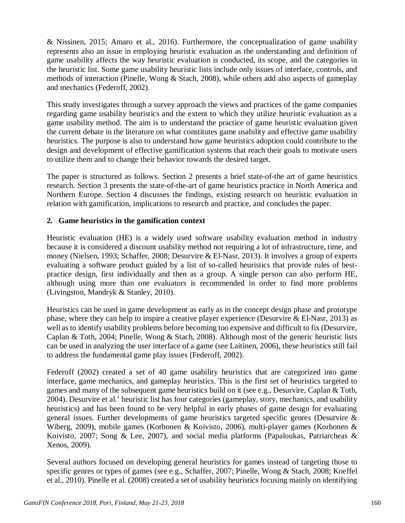& Nissinen, 2015; Amaro et al., 2016). Furthermore, the conceptualization of game usability represents also an issue in employing heuristic evaluation as the understanding and definition of game usability affects the way heuristic evaluation is conducted, its scope, and the categories in the heuristic list. Some game usability heuristic lists include only issues of interface, controls, and methods of interaction (Pinelle, Wong & Stach, 2008), while others add also aspects of gameplay and mechanics (Federoff, 2002).

This study investigates through a survey approach the views and practices of the game companies regarding game usability heuristics and the extent to which they utilize heuristic evaluation as a game usability method. The aim is to understand the practice of game heuristic evaluation given the current debate in the literature on what constitutes game usability and effective game usability heuristics. The purpose is also to understand how game heuristics adoption could contribute to the design and development of effective gamification systems that reach their goals to motivate users to utilize them and to change their behavior towards the desired target.

The paper is structured as follows. Section 2 presents a brief state-of-the art of game heuristics research. Section 3 presents the state-of-the-art of game heuristics practice in North America and Northern Europe. Section 4 discusses the findings, existing research on heuristic evaluation in relation with gamification, implications to research and practice, and concludes the paper.

### **2. Game heuristics in the gamification context**

Heuristic evaluation (HE) is a widely used software usability evaluation method in industry because it is considered a discount usability method not requiring a lot of infrastructure, time, and money (Nielsen, 1993; Schaffer, 2008; Desurvire & El-Nasr, 2013). It involves a group of experts evaluating a software product guided by a list of so-called heuristics that provide rules of bestpractice design, first individually and then as a group. A single person can also perform HE, although using more than one evaluators is recommended in order to find more problems (Livingston, Mandryk & Stanley, 2010).

Heuristics can be used in game development as early as in the concept design phase and prototype phase, where they can help to inspire a creative player experience (Desurvire & El-Nasr, 2013) as well as to identify usability problems before becoming too expensive and difficult to fix (Desurvire, Caplan & Toth, 2004; Pinelle, Wong & Stach, 2008). Although most of the generic heuristic lists can be used in analyzing the user interface of a game (see Laitinen, 2006), these heuristics still fail to address the fundamental game play issues (Federoff, 2002).

Federoff (2002) created a set of 40 game usability heuristics that are categorized into game interface, game mechanics, and gameplay heuristics. This is the first set of heuristics targeted to games and many of the subsequent game heuristics build on it (see e.g., Desurvire, Caplan & Toth, 2004). Desurvire et al.' heuristic list has four categories (gameplay, story, mechanics, and usability heuristics) and has been found to be very helpful in early phases of game design for evaluating general issues. Further developments of game heuristics targeted specific genres (Desurvire & Wiberg, 2009), mobile games (Korhonen & Koivisto, 2006), multi-player games (Korhonen & Koivisto, 2007; Song & Lee, 2007), and social media platforms (Papaloukas, Patriarcheas & Xenos, 2009).

Several authors focused on developing general heuristics for games instead of targeting those to specific genres or types of games (see e.g., Schaffer, 2007; Pinelle, Wong & Stach, 2008; Koeffel et al., 2010). Pinelle et al. (2008) created a set of usability heuristics focusing mainly on identifying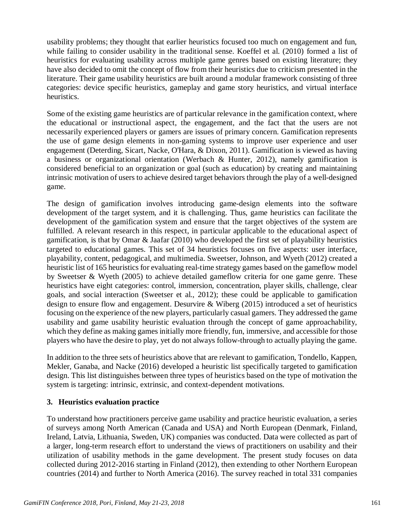usability problems; they thought that earlier heuristics focused too much on engagement and fun, while failing to consider usability in the traditional sense. Koeffel et al. (2010) formed a list of heuristics for evaluating usability across multiple game genres based on existing literature; they have also decided to omit the concept of flow from their heuristics due to criticism presented in the literature. Their game usability heuristics are built around a modular framework consisting of three categories: device specific heuristics, gameplay and game story heuristics, and virtual interface heuristics.

Some of the existing game heuristics are of particular relevance in the gamification context, where the educational or instructional aspect, the engagement, and the fact that the users are not necessarily experienced players or gamers are issues of primary concern. Gamification represents the use of game design elements in non-gaming systems to improve user experience and user engagement (Deterding, Sicart, Nacke, O'Hara, & Dixon, 2011). Gamification is viewed as having a business or organizational orientation (Werbach & Hunter, 2012), namely gamification is considered beneficial to an organization or goal (such as education) by creating and maintaining intrinsic motivation of users to achieve desired target behaviors through the play of a well-designed game.

The design of gamification involves introducing game-design elements into the software development of the target system, and it is challenging. Thus, game heuristics can facilitate the development of the gamification system and ensure that the target objectives of the system are fulfilled. A relevant research in this respect, in particular applicable to the educational aspect of gamification, is that by Omar & Jaafar (2010) who developed the first set of playability heuristics targeted to educational games. This set of 34 heuristics focuses on five aspects: user interface, playability, content, pedagogical, and multimedia. Sweetser, Johnson, and Wyeth (2012) created a heuristic list of 165 heuristics for evaluating real-time strategy games based on the gameflow model by Sweetser & Wyeth (2005) to achieve detailed gameflow criteria for one game genre. These heuristics have eight categories: control, immersion, concentration, player skills, challenge, clear goals, and social interaction (Sweetser et al., 2012); these could be applicable to gamification design to ensure flow and engagement. Desurvire & Wiberg (2015) introduced a set of heuristics focusing on the experience of the new players, particularly casual gamers. They addressed the game usability and game usability heuristic evaluation through the concept of game approachability, which they define as making games initially more friendly, fun, immersive, and accessible for those players who have the desire to play, yet do not always follow-through to actually playing the game.

In addition to the three sets of heuristics above that are relevant to gamification, Tondello, Kappen, Mekler, Ganaba, and Nacke (2016) developed a heuristic list specifically targeted to gamification design. This list distinguishes between three types of heuristics based on the type of motivation the system is targeting: intrinsic, extrinsic, and context-dependent motivations.

### **3. Heuristics evaluation practice**

To understand how practitioners perceive game usability and practice heuristic evaluation, a series of surveys among North American (Canada and USA) and North European (Denmark, Finland, Ireland, Latvia, Lithuania, Sweden, UK) companies was conducted. Data were collected as part of a larger, long-term research effort to understand the views of practitioners on usability and their utilization of usability methods in the game development. The present study focuses on data collected during 2012-2016 starting in Finland (2012), then extending to other Northern European countries (2014) and further to North America (2016). The survey reached in total 331 companies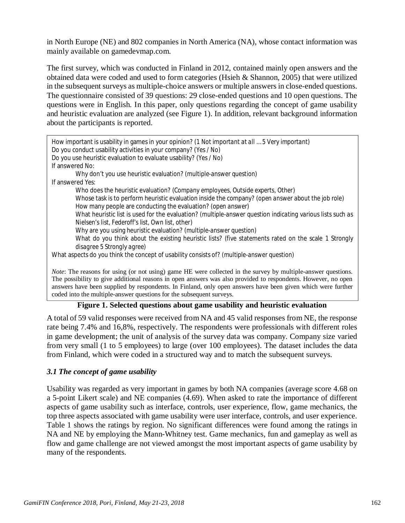in North Europe (NE) and 802 companies in North America (NA), whose contact information was mainly available on gamedevmap.com.

The first survey, which was conducted in Finland in 2012, contained mainly open answers and the obtained data were coded and used to form categories (Hsieh & Shannon, 2005) that were utilized in the subsequent surveys as multiple-choice answers or multiple answers in close-ended questions. The questionnaire consisted of 39 questions: 29 close-ended questions and 10 open questions. The questions were in English. In this paper, only questions regarding the concept of game usability and heuristic evaluation are analyzed (see Figure 1). In addition, relevant background information about the participants is reported.

| How important is usability in games in your opinion? (1 Not important at all  5 Very important)<br>Do you conduct usability activities in your company? (Yes / No)<br>Do you use heuristic evaluation to evaluate usability? (Yes / No) |
|-----------------------------------------------------------------------------------------------------------------------------------------------------------------------------------------------------------------------------------------|
| If answered No:                                                                                                                                                                                                                         |
| Why don't you use heuristic evaluation? (multiple-answer question)                                                                                                                                                                      |
| If answered Yes:                                                                                                                                                                                                                        |
| Who does the heuristic evaluation? (Company employees, Outside experts, Other)                                                                                                                                                          |
| Whose task is to perform heuristic evaluation inside the company? (open answer about the job role)<br>How many people are conducting the evaluation? (open answer)                                                                      |
| What heuristic list is used for the evaluation? (multiple-answer question indicating various lists such as<br>Nielsen's list, Federoff's list, Own list, other)                                                                         |
| Why are you using heuristic evaluation? (multiple-answer question)                                                                                                                                                                      |
| What do you think about the existing heuristic lists? (five statements rated on the scale 1 Strongly<br>disagree 5 Strongly agree)                                                                                                      |
| What aspects do you think the concept of usability consists of? (multiple-answer question)                                                                                                                                              |
| <i>Note:</i> The reasons for using (or not using) game HE were collected in the survey by multiple-answer questions.                                                                                                                    |

The possibility to give additional reasons in open answers was also provided to respondents. However, no open answers have been supplied by respondents. In Finland, only open answers have been given which were further coded into the multiple-answer questions for the subsequent surveys.

### **Figure 1. Selected questions about game usability and heuristic evaluation**

A total of 59 valid responses were received from NA and 45 valid responses from NE, the response rate being 7.4% and 16,8%, respectively. The respondents were professionals with different roles in game development; the unit of analysis of the survey data was company. Company size varied from very small (1 to 5 employees) to large (over 100 employees). The dataset includes the data from Finland, which were coded in a structured way and to match the subsequent surveys.

### *3.1 The concept of game usability*

Usability was regarded as very important in games by both NA companies (average score 4.68 on a 5-point Likert scale) and NE companies (4.69). When asked to rate the importance of different aspects of game usability such as interface, controls, user experience, flow, game mechanics, the top three aspects associated with game usability were user interface, controls, and user experience. Table 1 shows the ratings by region. No significant differences were found among the ratings in NA and NE by employing the Mann-Whitney test. Game mechanics, fun and gameplay as well as flow and game challenge are not viewed amongst the most important aspects of game usability by many of the respondents.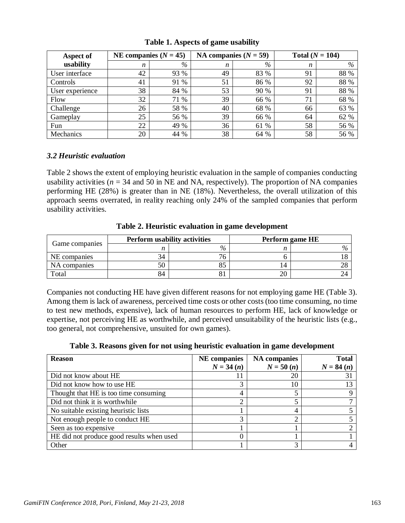| Aspect of       | NE companies $(N = 45)$ |      | NA companies $(N = 59)$ |      | Total $(N = 104)$ |      |  |
|-----------------|-------------------------|------|-------------------------|------|-------------------|------|--|
| usability       | n                       | %    | n                       | %    | n                 | %    |  |
| User interface  | 42                      | 93 % | 49                      | 83 % | 91                | 88 % |  |
| Controls        | 41                      | 91 % | 51                      | 86 % | 92                | 88 % |  |
| User experience | 38                      | 84 % | 53                      | 90 % | 91                | 88 % |  |
| Flow            | 32                      | 71 % | 39                      | 66 % | 71                | 68 % |  |
| Challenge       | 26                      | 58 % | 40                      | 68 % | 66                | 63 % |  |
| Gameplay        | 25                      | 56 % | 39                      | 66 % | 64                | 62 % |  |
| Fun             | 22                      | 49 % | 36                      | 61 % | 58                | 56 % |  |
| Mechanics       | 20                      | 44 % | 38                      | 64 % | 58                | 56 % |  |

**Table 1. Aspects of game usability**

### *3.2 Heuristic evaluation*

Table 2 shows the extent of employing heuristic evaluation in the sample of companies conducting usability activities ( $n = 34$  and 50 in NE and NA, respectively). The proportion of NA companies performing HE (28%) is greater than in NE (18%). Nevertheless, the overall utilization of this approach seems overrated, in reality reaching only 24% of the sampled companies that perform usability activities.

| Game companies |    | <b>Perform usability activities</b> | Perform game HE |  |  |
|----------------|----|-------------------------------------|-----------------|--|--|
|                |    | $\%$                                |                 |  |  |
| NE companies   | 34 |                                     |                 |  |  |
| NA companies   | 50 |                                     | 4               |  |  |
| Total          | 84 |                                     |                 |  |  |

**Table 2. Heuristic evaluation in game development**

Companies not conducting HE have given different reasons for not employing game HE (Table 3). Among them is lack of awareness, perceived time costs or other costs (too time consuming, no time to test new methods, expensive), lack of human resources to perform HE, lack of knowledge or expertise, not perceiving HE as worthwhile, and perceived unsuitability of the heuristic lists (e.g., too general, not comprehensive, unsuited for own games).

|  |  |  | Table 3. Reasons given for not using heuristic evaluation in game development |  |  |
|--|--|--|-------------------------------------------------------------------------------|--|--|
|  |  |  |                                                                               |  |  |

| <b>Reason</b>                             | <b>NE</b> companies<br>$N = 34(n)$ | <b>NA</b> companies<br>$N = 50(n)$ | <b>Total</b><br>$N = 84(n)$ |
|-------------------------------------------|------------------------------------|------------------------------------|-----------------------------|
|                                           |                                    |                                    |                             |
| Did not know about HE                     |                                    | 20                                 | 31                          |
| Did not know how to use HE                |                                    | 10                                 | 13                          |
| Thought that HE is too time consuming     |                                    |                                    |                             |
| Did not think it is worthwhile            |                                    |                                    |                             |
| No suitable existing heuristic lists      |                                    | 4                                  |                             |
| Not enough people to conduct HE           | っ                                  | ↑                                  |                             |
| Seen as too expensive                     |                                    |                                    |                             |
| HE did not produce good results when used |                                    |                                    |                             |
| Other                                     |                                    | 3                                  |                             |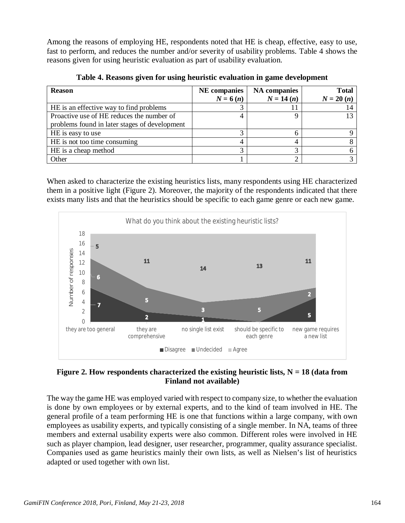Among the reasons of employing HE, respondents noted that HE is cheap, effective, easy to use, fast to perform, and reduces the number and/or severity of usability problems. Table 4 shows the reasons given for using heuristic evaluation as part of usability evaluation.

| <b>Reason</b>                                 | <b>NE</b> companies | <b>NA</b> companies | <b>Total</b> |
|-----------------------------------------------|---------------------|---------------------|--------------|
|                                               | $N = 6(n)$          | $N = 14(n)$         | $N = 20(n)$  |
| HE is an effective way to find problems       |                     |                     |              |
| Proactive use of HE reduces the number of     |                     |                     |              |
| problems found in later stages of development |                     |                     |              |
| HE is easy to use                             |                     |                     |              |
| HE is not too time consuming                  |                     |                     |              |
| HE is a cheap method                          |                     |                     |              |
| Other                                         |                     |                     |              |

**Table 4. Reasons given for using heuristic evaluation in game development**

When asked to characterize the existing heuristics lists, many respondents using HE characterized them in a positive light (Figure 2). Moreover, the majority of the respondents indicated that there exists many lists and that the heuristics should be specific to each game genre or each new game.



## **Figure 2. How respondents characterized the existing heuristic lists, N = 18 (data from Finland not available)**

The way the game HE was employed varied with respect to company size, to whether the evaluation is done by own employees or by external experts, and to the kind of team involved in HE. The general profile of a team performing HE is one that functions within a large company, with own employees as usability experts, and typically consisting of a single member. In NA, teams of three members and external usability experts were also common. Different roles were involved in HE such as player champion, lead designer, user researcher, programmer, quality assurance specialist. Companies used as game heuristics mainly their own lists, as well as Nielsen's list of heuristics adapted or used together with own list.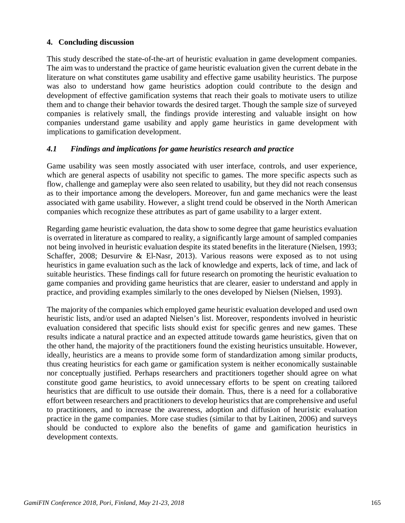### **4. Concluding discussion**

This study described the state-of-the-art of heuristic evaluation in game development companies. The aim was to understand the practice of game heuristic evaluation given the current debate in the literature on what constitutes game usability and effective game usability heuristics. The purpose was also to understand how game heuristics adoption could contribute to the design and development of effective gamification systems that reach their goals to motivate users to utilize them and to change their behavior towards the desired target. Though the sample size of surveyed companies is relatively small, the findings provide interesting and valuable insight on how companies understand game usability and apply game heuristics in game development with implications to gamification development.

### *4.1 Findings and implications for game heuristics research and practice*

Game usability was seen mostly associated with user interface, controls, and user experience, which are general aspects of usability not specific to games. The more specific aspects such as flow, challenge and gameplay were also seen related to usability, but they did not reach consensus as to their importance among the developers. Moreover, fun and game mechanics were the least associated with game usability. However, a slight trend could be observed in the North American companies which recognize these attributes as part of game usability to a larger extent.

Regarding game heuristic evaluation, the data show to some degree that game heuristics evaluation is overrated in literature as compared to reality, a significantly large amount of sampled companies not being involved in heuristic evaluation despite its stated benefits in the literature (Nielsen, 1993; Schaffer, 2008; Desurvire & El-Nasr, 2013). Various reasons were exposed as to not using heuristics in game evaluation such as the lack of knowledge and experts, lack of time, and lack of suitable heuristics. These findings call for future research on promoting the heuristic evaluation to game companies and providing game heuristics that are clearer, easier to understand and apply in practice, and providing examples similarly to the ones developed by Nielsen (Nielsen, 1993).

The majority of the companies which employed game heuristic evaluation developed and used own heuristic lists, and/or used an adapted Nielsen's list. Moreover, respondents involved in heuristic evaluation considered that specific lists should exist for specific genres and new games. These results indicate a natural practice and an expected attitude towards game heuristics, given that on the other hand, the majority of the practitioners found the existing heuristics unsuitable. However, ideally, heuristics are a means to provide some form of standardization among similar products, thus creating heuristics for each game or gamification system is neither economically sustainable nor conceptually justified. Perhaps researchers and practitioners together should agree on what constitute good game heuristics, to avoid unnecessary efforts to be spent on creating tailored heuristics that are difficult to use outside their domain. Thus, there is a need for a collaborative effort between researchers and practitioners to develop heuristics that are comprehensive and useful to practitioners, and to increase the awareness, adoption and diffusion of heuristic evaluation practice in the game companies. More case studies (similar to that by Laitinen, 2006) and surveys should be conducted to explore also the benefits of game and gamification heuristics in development contexts.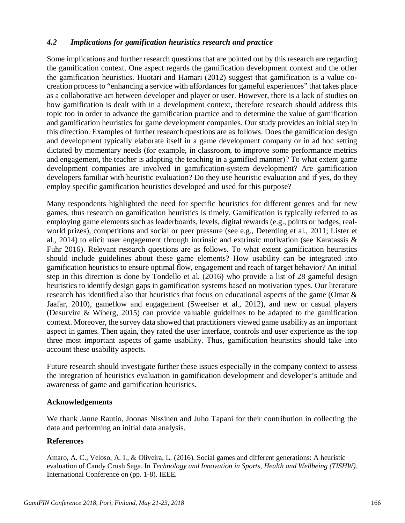### *4.2 Implications for gamification heuristics research and practice*

Some implications and further research questions that are pointed out by this research are regarding the gamification context. One aspect regards the gamification development context and the other the gamification heuristics. Huotari and Hamari (2012) suggest that gamification is a value cocreation process to "enhancing a service with affordances for gameful experiences" that takes place as a collaborative act between developer and player or user. However, there is a lack of studies on how gamification is dealt with in a development context, therefore research should address this topic too in order to advance the gamification practice and to determine the value of gamification and gamification heuristics for game development companies. Our study provides an initial step in this direction. Examples of further research questions are as follows. Does the gamification design and development typically elaborate itself in a game development company or in ad hoc setting dictated by momentary needs (for example, in classroom, to improve some performance metrics and engagement, the teacher is adapting the teaching in a gamified manner)? To what extent game development companies are involved in gamification-system development? Are gamification developers familiar with heuristic evaluation? Do they use heuristic evaluation and if yes, do they employ specific gamification heuristics developed and used for this purpose?

Many respondents highlighted the need for specific heuristics for different genres and for new games, thus research on gamification heuristics is timely. Gamification is typically referred to as employing game elements such as leaderboards, levels, digital rewards (e.g., points or badges, realworld prizes), competitions and social or peer pressure (see e.g., Deterding et al., 2011; Lister et al., 2014) to elicit user engagement through intrinsic and extrinsic motivation (see Karatassis & Fuhr 2016). Relevant research questions are as follows. To what extent gamification heuristics should include guidelines about these game elements? How usability can be integrated into gamification heuristics to ensure optimal flow, engagement and reach of target behavior? An initial step in this direction is done by Tondello et al. (2016) who provide a list of 28 gameful design heuristics to identify design gaps in gamification systems based on motivation types. Our literature research has identified also that heuristics that focus on educational aspects of the game (Omar & Jaafar, 2010), gameflow and engagement (Sweetser et al., 2012), and new or casual players (Desurvire & Wiberg, 2015) can provide valuable guidelines to be adapted to the gamification context. Moreover, the survey data showed that practitioners viewed game usability as an important aspect in games. Then again, they rated the user interface, controls and user experience as the top three most important aspects of game usability. Thus, gamification heuristics should take into account these usability aspects.

Future research should investigate further these issues especially in the company context to assess the integration of heuristics evaluation in gamification development and developer's attitude and awareness of game and gamification heuristics.

### **Acknowledgements**

We thank Janne Rautio, Joonas Nissinen and Juho Tapani for their contribution in collecting the data and performing an initial data analysis.

### **References**

Amaro, A. C., Veloso, A. I., & Oliveira, L. (2016). Social games and different generations: A heuristic evaluation of Candy Crush Saga. In *Technology and Innovation in Sports, Health and Wellbeing (TISHW)*, International Conference on (pp. 1-8). IEEE.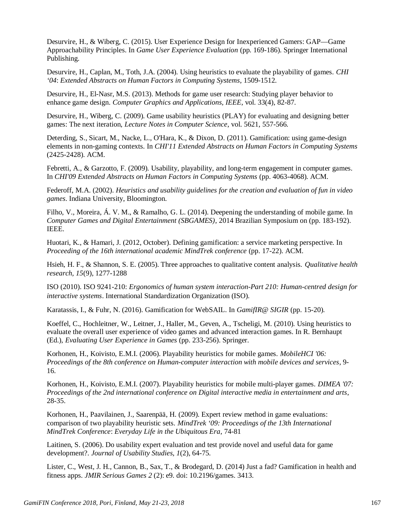Desurvire, H., & Wiberg, C. (2015). User Experience Design for Inexperienced Gamers: GAP—Game Approachability Principles. In *Game User Experience Evaluation* (pp. 169-186). Springer International Publishing.

Desurvire, H., Caplan, M., Toth, J.A. (2004). Using heuristics to evaluate the playability of games. *CHI '04*: *Extended Abstracts on Human Factors in Computing Systems*, 1509-1512.

Desurvire, H., El-Nasr, M.S. (2013). Methods for game user research: Studying player behavior to enhance game design. *Computer Graphics and Applications, IEEE*, vol. 33(4), 82-87.

Desurvire, H., Wiberg, C. (2009). Game usability heuristics (PLAY) for evaluating and designing better games: The next iteration, *Lecture Notes in Computer Science*, vol. 5621, 557-566.

Deterding, S., Sicart, M., Nacke, L., O'Hara, K., & Dixon, D. (2011). Gamification: using game-design elements in non-gaming contexts. In *CHI'11 Extended Abstracts on Human Factors in Computing Systems* (2425-2428). ACM.

Febretti, A., & Garzotto, F. (2009). Usability, playability, and long-term engagement in computer games. In *CHI'09 Extended Abstracts on Human Factors in Computing Systems* (pp. 4063-4068). ACM.

Federoff, M.A. (2002). *Heuristics and usability guidelines for the creation and evaluation of fun in video games*. Indiana University, Bloomington.

Filho, V., Moreira, Á. V. M., & Ramalho, G. L. (2014). Deepening the understanding of mobile game. In *Computer Games and Digital Entertainment (SBGAMES)*, 2014 Brazilian Symposium on (pp. 183-192). IEEE.

Huotari, K., & Hamari, J. (2012, October). Defining gamification: a service marketing perspective. In *Proceeding of the 16th international academic MindTrek conference* (pp. 17-22). ACM.

Hsieh, H. F., & Shannon, S. E. (2005). Three approaches to qualitative content analysis. *Qualitative health research, 15*(9), 1277-1288

ISO (2010). ISO 9241-210: *Ergonomics of human system interaction-Part 210: Human-centred design for interactive systems*. International Standardization Organization (ISO).

Karatassis, I., & Fuhr, N. (2016). Gamification for WebSAIL. In *GamifIR@ SIGIR* (pp. 15-20).

Koeffel, C., Hochleitner, W., Leitner, J., Haller, M., Geven, A., Tscheligi, M. (2010). Using heuristics to evaluate the overall user experience of video games and advanced interaction games. In R. Bernhaupt (Ed.), *Evaluating User Experience in Games* (pp. 233-256). Springer.

Korhonen, H., Koivisto, E.M.I. (2006). Playability heuristics for mobile games. *MobileHCI '06: Proceedings of the 8th conference on Human-computer interaction with mobile devices and services*, 9- 16.

Korhonen, H., Koivisto, E.M.I. (2007). Playability heuristics for mobile multi-player games. *DIMEA '07: Proceedings of the 2nd international conference on Digital interactive media in entertainment and arts*, 28-35.

Korhonen, H., Paavilainen, J., Saarenpää, H. (2009). Expert review method in game evaluations: comparison of two playability heuristic sets. *MindTrek '09: Proceedings of the 13th International MindTrek Conference*: *Everyday Life in the Ubiquitous Era*, 74-81

Laitinen, S. (2006). Do usability expert evaluation and test provide novel and useful data for game development?. *Journal of Usability Studies*, *1*(2), 64-75.

Lister, C., West, J. H., Cannon, B., Sax, T., & Brodegard, D. (2014) Just a fad? Gamification in health and fitness apps. *JMIR Serious Games 2* (2): e9. doi: 10.2196/games. 3413.